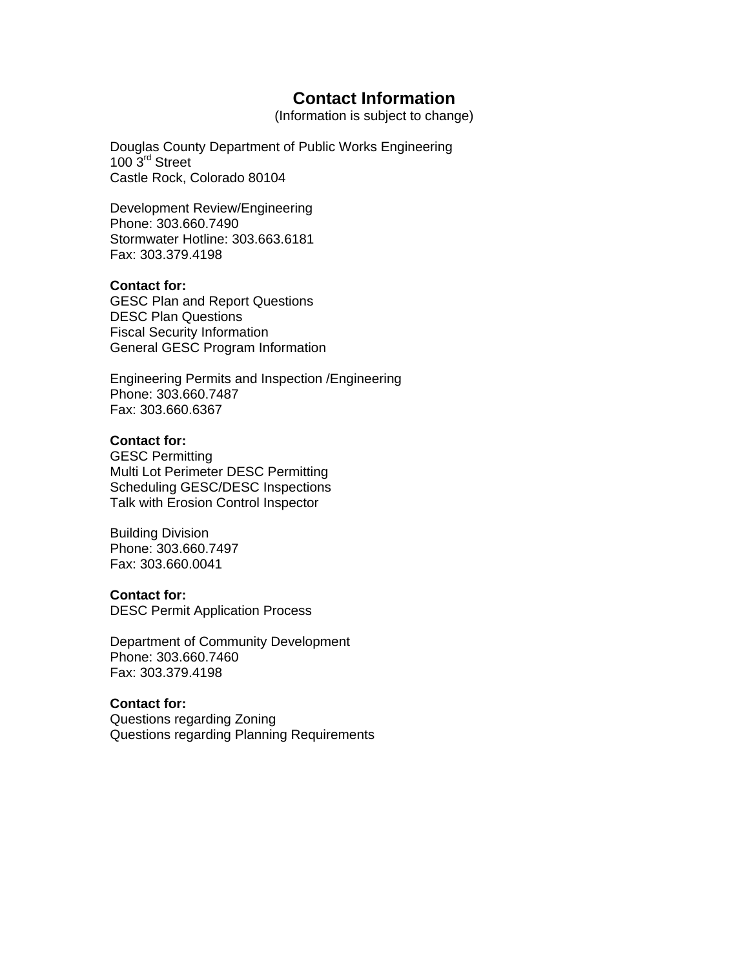# **Contact Information**

(Information is subject to change)

Douglas County Department of Public Works Engineering 100 3<sup>rd</sup> Street Castle Rock, Colorado 80104

Development Review/Engineering Phone: 303.660.7490 Stormwater Hotline: 303.663.6181 Fax: 303.379.4198

#### **Contact for:**

GESC Plan and Report Questions DESC Plan Questions Fiscal Security Information General GESC Program Information

Engineering Permits and Inspection /Engineering Phone: 303.660.7487 Fax: 303.660.6367

## **Contact for:**

GESC Permitting Multi Lot Perimeter DESC Permitting Scheduling GESC/DESC Inspections Talk with Erosion Control Inspector

Building Division Phone: 303.660.7497 Fax: 303.660.0041

#### **Contact for:**

DESC Permit Application Process

Department of Community Development Phone: 303.660.7460 Fax: 303.379.4198

## **Contact for:**

Questions regarding Zoning Questions regarding Planning Requirements